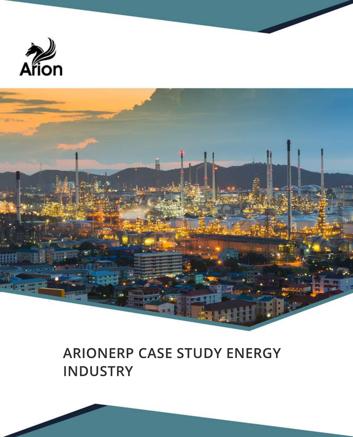



# **ARIONERP CASE STUDY ENERGY INDUSTRY**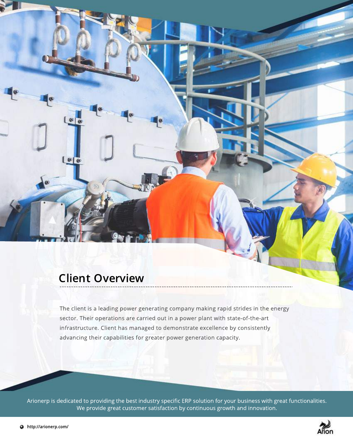#### **Client Overview**

 $\left[\alpha\right]$ 

 $\lfloor \frac{1}{n} \rfloor$ 

The client is a leading power generating company making rapid strides in the energy sector. Their operations are carried out in a power plant with state-of-the-art infrastructure. Client has managed to demonstrate excellence by consistently advancing their capabilities for greater power generation capacity.

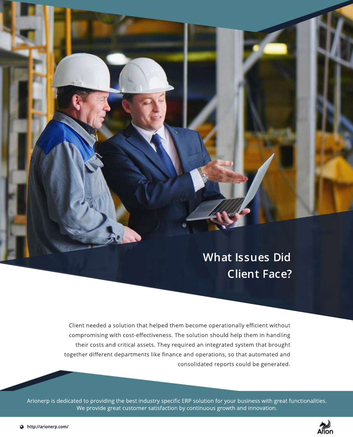# **What Issues Did Client Face?**

Client needed a solution that helped them become operationally efficient without compromising with cost-effectiveness. The solution should help them in handling their costs and critical assets. They required an integrated system that brought together different departments like finance and operations, so that automated and consolidated reports could be generated.

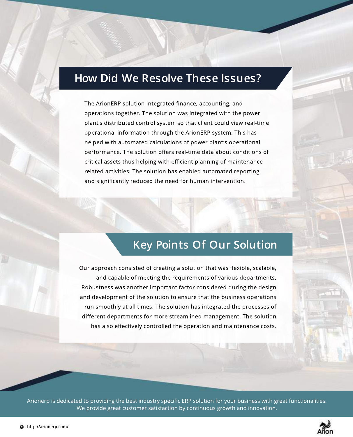#### **How Did We Resolve These Issues?**

The ArionERP solution integrated finance, accounting, and operations together. The solution was integrated with the power plant's distributed control system so that client could view real-time operational information through the ArionERP system. This has helped with automated calculations of power plant's operational performance. The solution offers real-time data about conditions of critical assets thus helping with efficient planning of maintenance related activities. The solution has enabled automated reporting and significantly reduced the need for human intervention.

### **Key Points Of Our Solution**

Our approach consisted of creating a solution that was flexible, scalable, and capable of meeting the requirements of various departments. Robustness was another important factor considered during the design and development of the solution to ensure that the business operations run smoothly at all times. The solution has integrated the processes of different departments for more streamlined management. The solution has also effectively controlled the operation and maintenance costs.